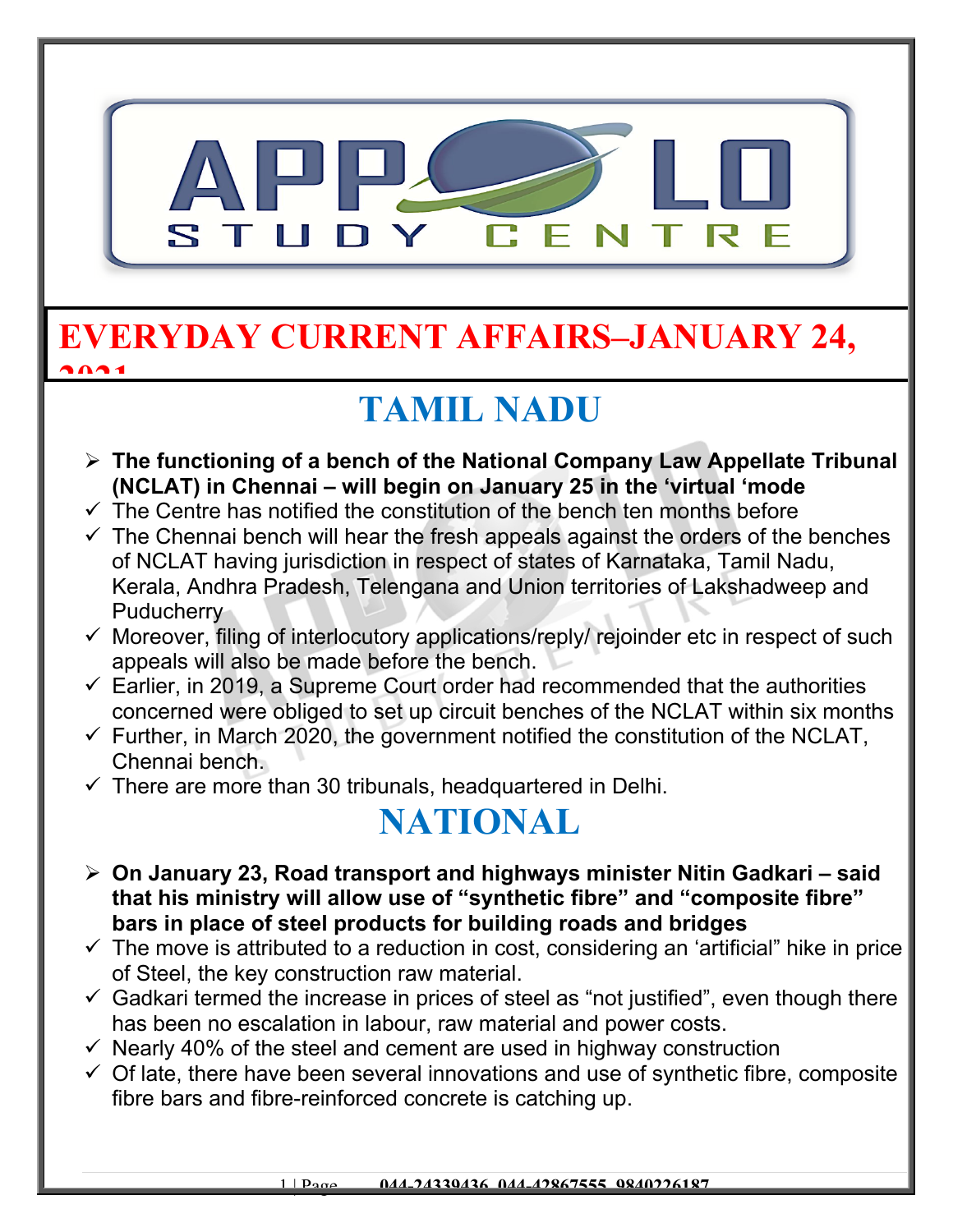

## **EVERYDAY CURRENT AFFAIRS–JANUARY 24, 2021**

## **TAMIL NADU**

- **The functioning of a bench of the National Company Law Appellate Tribunal (NCLAT) in Chennai – will begin on January 25 in the 'virtual 'mode**
- $\checkmark$  The Centre has notified the constitution of the bench ten months before
- $\checkmark$  The Chennai bench will hear the fresh appeals against the orders of the benches of NCLAT having jurisdiction in respect of states of Karnataka, Tamil Nadu, Kerala, Andhra Pradesh, Telengana and Union territories of Lakshadweep and **Puducherry**
- $\checkmark$  Moreover, filing of interlocutory applications/reply/ rejoinder etc in respect of such appeals will also be made before the bench.
- $\checkmark$  Earlier, in 2019, a Supreme Court order had recommended that the authorities concerned were obliged to set up circuit benches of the NCLAT within six months
- $\checkmark$  Further, in March 2020, the government notified the constitution of the NCLAT, Chennai bench.
- $\checkmark$  There are more than 30 tribunals, headquartered in Delhi.

## **NATIONAL**

- **On January 23, Road transport and highways minister Nitin Gadkari said that his ministry will allow use of "synthetic fibre" and "composite fibre" bars in place of steel products for building roads and bridges**
- $\checkmark$  The move is attributed to a reduction in cost, considering an 'artificial" hike in price of Steel, the key construction raw material.
- $\checkmark$  Gadkari termed the increase in prices of steel as "not justified", even though there has been no escalation in labour, raw material and power costs.
- $\checkmark$  Nearly 40% of the steel and cement are used in highway construction
- $\checkmark$  Of late, there have been several innovations and use of synthetic fibre, composite fibre bars and fibre-reinforced concrete is catching up.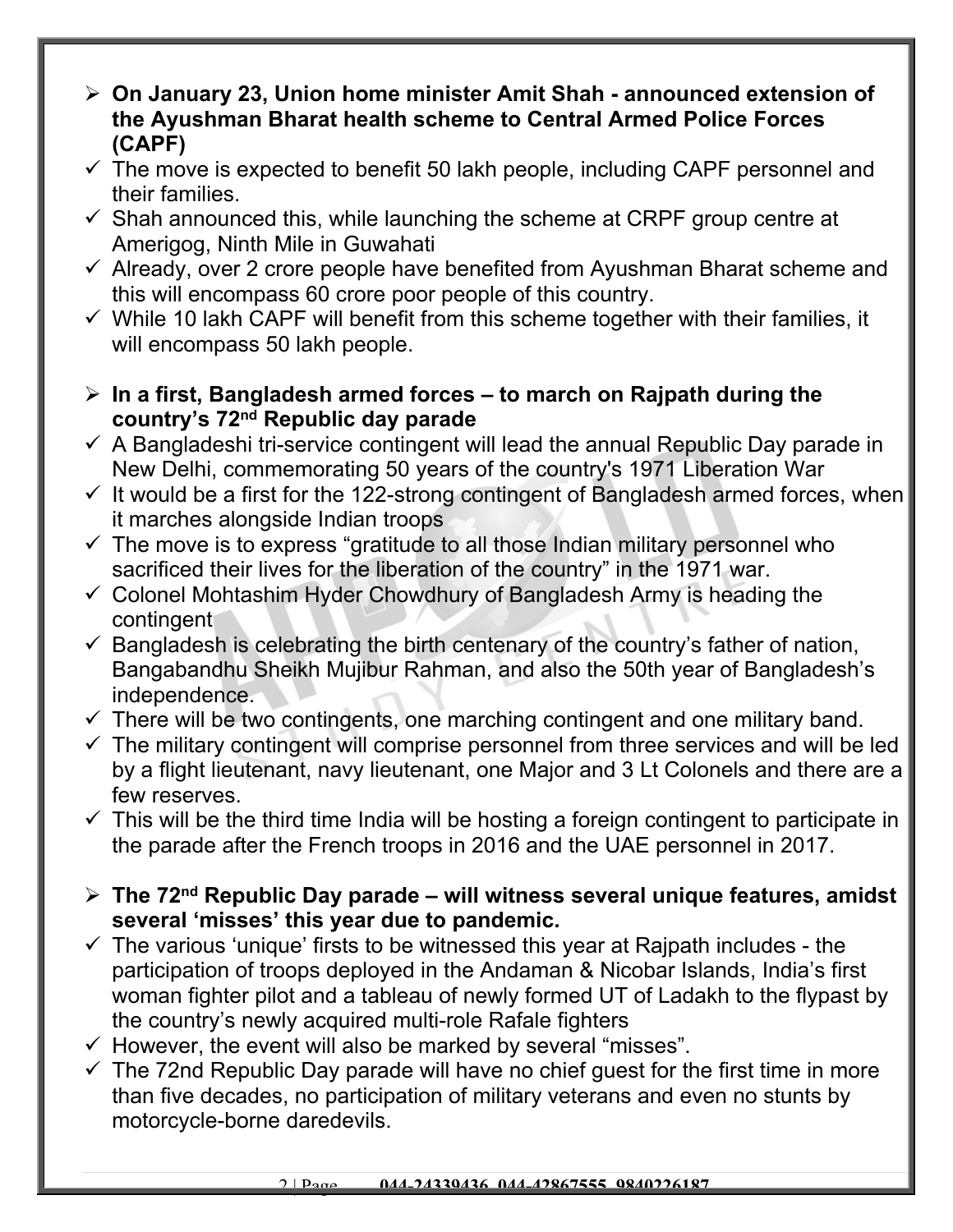- **On January 23, Union home minister Amit Shah announced extension of the Ayushman Bharat health scheme to Central Armed Police Forces (CAPF)**
- $\checkmark$  The move is expected to benefit 50 lakh people, including CAPF personnel and their families.
- $\checkmark$  Shah announced this, while launching the scheme at CRPF group centre at Amerigog, Ninth Mile in Guwahati
- $\checkmark$  Already, over 2 crore people have benefited from Ayushman Bharat scheme and this will encompass 60 crore poor people of this country.
- $\checkmark$  While 10 lakh CAPF will benefit from this scheme together with their families, it will encompass 50 lakh people.
- **In a first, Bangladesh armed forces to march on Rajpath during the country's 72nd Republic day parade**
- $\checkmark$  A Bangladeshi tri-service contingent will lead the annual Republic Day parade in New Delhi, commemorating 50 years of the country's 1971 Liberation War
- $\checkmark$  It would be a first for the 122-strong contingent of Bangladesh armed forces, when it marches alongside Indian troops
- $\checkmark$  The move is to express "gratitude to all those Indian military personnel who sacrificed their lives for the liberation of the country" in the 1971 war.
- $\checkmark$  Colonel Mohtashim Hyder Chowdhury of Bangladesh Army is heading the contingent
- $\checkmark$  Bangladesh is celebrating the birth centenary of the country's father of nation, Bangabandhu Sheikh Mujibur Rahman, and also the 50th year of Bangladesh's independence.
- $\checkmark$  There will be two contingents, one marching contingent and one military band.
- $\checkmark$  The military contingent will comprise personnel from three services and will be led by a flight lieutenant, navy lieutenant, one Major and 3 Lt Colonels and there are a few reserves.
- $\checkmark$  This will be the third time India will be hosting a foreign contingent to participate in the parade after the French troops in 2016 and the UAE personnel in 2017.
- **The 72nd Republic Day parade will witness several unique features, amidst several 'misses' this year due to pandemic.**
- $\checkmark$  The various 'unique' firsts to be witnessed this year at Rajpath includes the participation of troops deployed in the Andaman & Nicobar Islands, India's first woman fighter pilot and a tableau of newly formed UT of Ladakh to the flypast by the country's newly acquired multi-role Rafale fighters
- $\checkmark$  However, the event will also be marked by several "misses".
- $\checkmark$  The 72nd Republic Day parade will have no chief quest for the first time in more than five decades, no participation of military veterans and even no stunts by motorcycle-borne daredevils.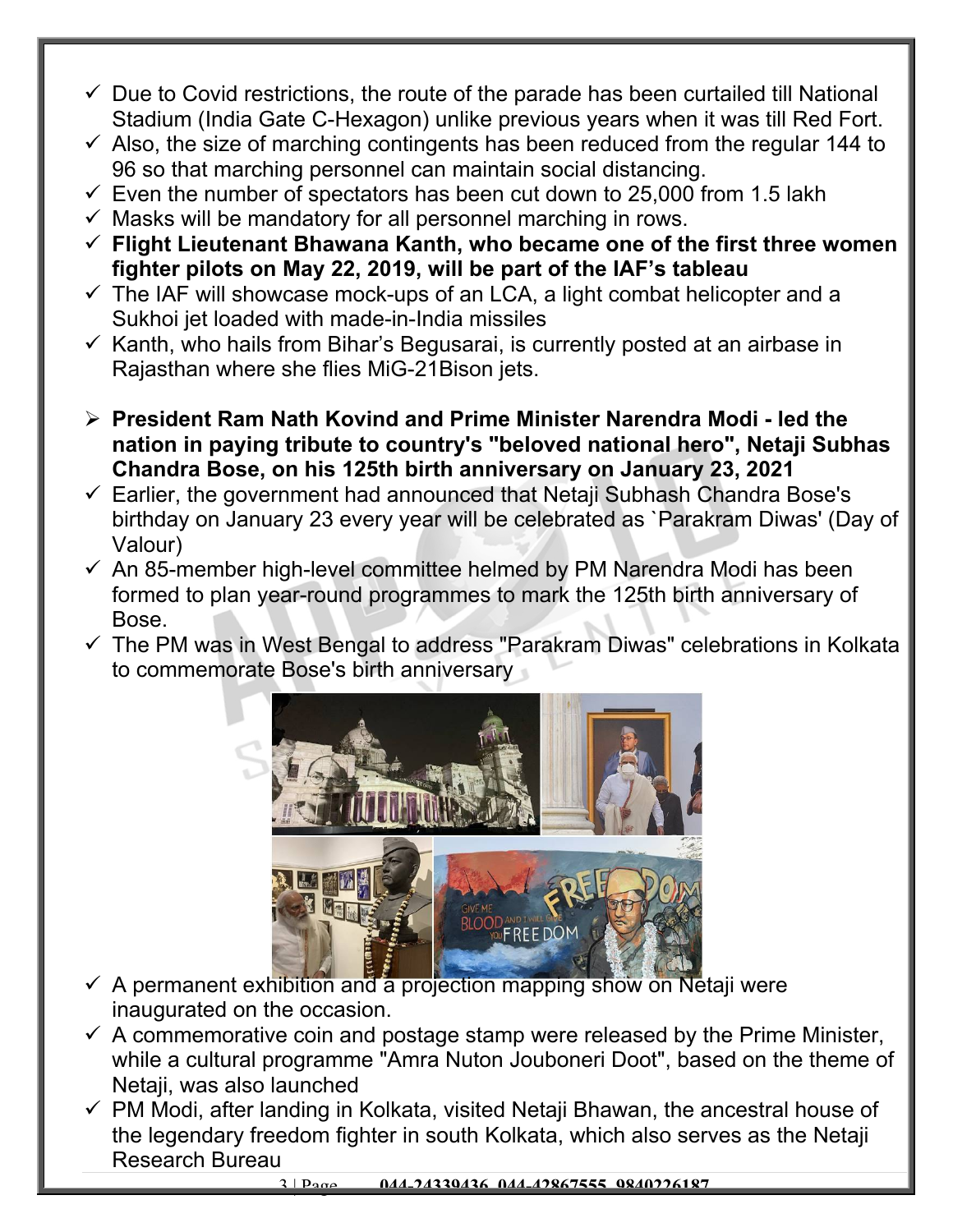- $\checkmark$  Due to Covid restrictions, the route of the parade has been curtailed till National Stadium (India Gate C-Hexagon) unlike previous years when it was till Red Fort.
- $\checkmark$  Also, the size of marching contingents has been reduced from the regular 144 to 96 so that marching personnel can maintain social distancing.
- $\checkmark$  Even the number of spectators has been cut down to 25,000 from 1.5 lakh
- $\checkmark$  Masks will be mandatory for all personnel marching in rows.
- **Flight Lieutenant Bhawana Kanth, who became one of the first three women fighter pilots on May 22, 2019, will be part of the IAF's tableau**
- $\checkmark$  The IAF will showcase mock-ups of an LCA, a light combat helicopter and a Sukhoi jet loaded with made-in-India missiles
- $\checkmark$  Kanth, who hails from Bihar's Begusarai, is currently posted at an airbase in Rajasthan where she flies MiG-21Bison jets.
- **President Ram Nath Kovind and Prime Minister Narendra Modi led the nation in paying tribute to country's "beloved national hero", Netaji Subhas Chandra Bose, on his 125th birth anniversary on January 23, 2021**
- $\checkmark$  Earlier, the government had announced that Netaji Subhash Chandra Bose's birthday on January 23 every year will be celebrated as `Parakram Diwas' (Day of Valour)
- $\checkmark$  An 85-member high-level committee helmed by PM Narendra Modi has been formed to plan year-round programmes to mark the 125th birth anniversary of Bose.
- $\checkmark$  The PM was in West Bengal to address "Parakram Diwas" celebrations in Kolkata to commemorate Bose's birth anniversary



- $\checkmark$  A permanent exhibition and a projection mapping show on Netaji were inaugurated on the occasion.
- $\checkmark$  A commemorative coin and postage stamp were released by the Prime Minister, while a cultural programme "Amra Nuton Jouboneri Doot", based on the theme of Netaji, was also launched
- $\checkmark$  PM Modi, after landing in Kolkata, visited Netaji Bhawan, the ancestral house of the legendary freedom fighter in south Kolkata, which also serves as the Netaji Research Bureau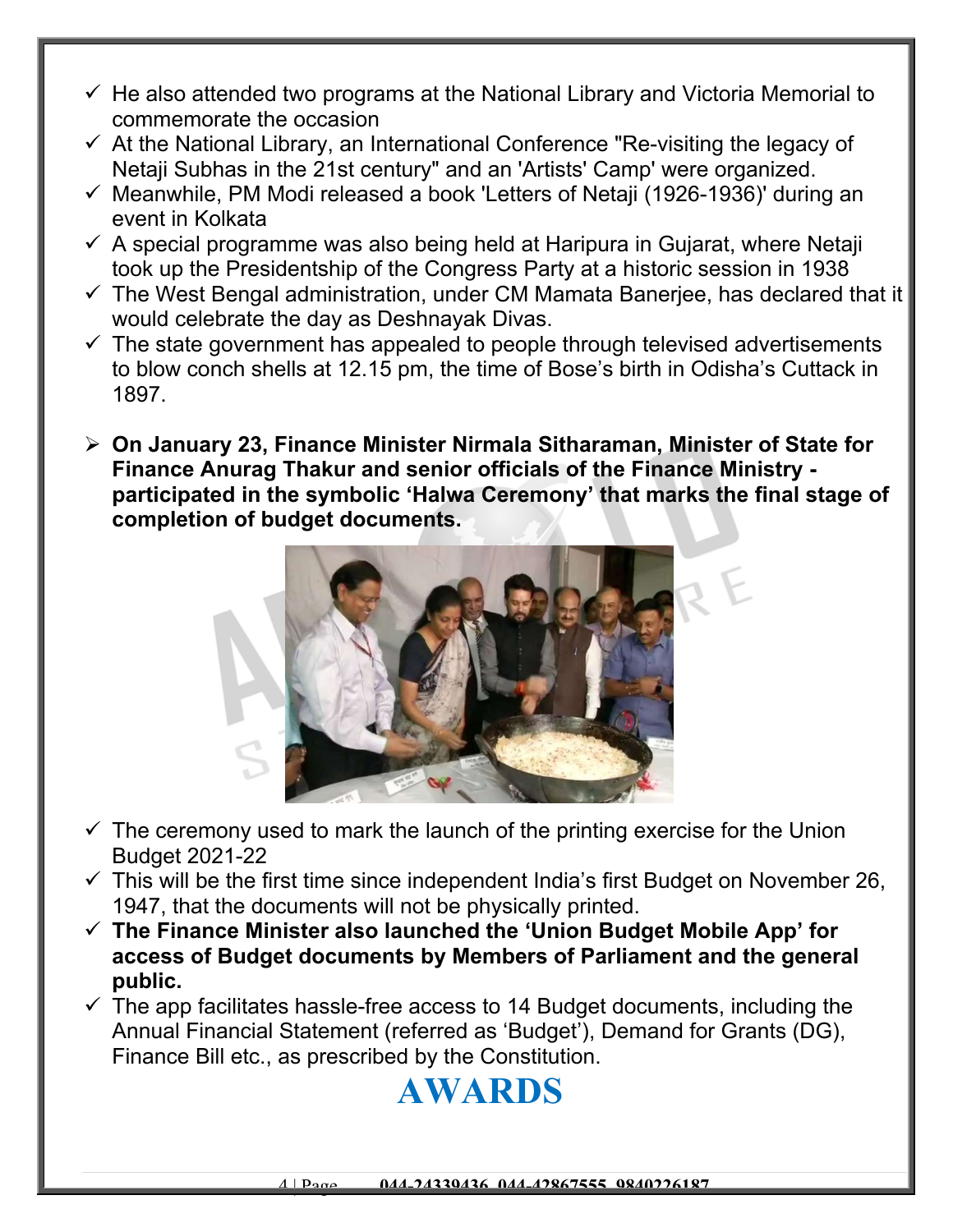- $\checkmark$  He also attended two programs at the National Library and Victoria Memorial to commemorate the occasion
- $\checkmark$  At the National Library, an International Conference "Re-visiting the legacy of Netaji Subhas in the 21st century" and an 'Artists' Camp' were organized.
- $\checkmark$  Meanwhile, PM Modi released a book 'Letters of Netaji (1926-1936)' during an event in Kolkata
- $\checkmark$  A special programme was also being held at Haripura in Gujarat, where Netaji took up the Presidentship of the Congress Party at a historic session in 1938
- $\checkmark$  The West Bengal administration, under CM Mamata Banerjee, has declared that it would celebrate the day as Deshnayak Divas.
- $\checkmark$  The state government has appealed to people through televised advertisements to blow conch shells at 12.15 pm, the time of Bose's birth in Odisha's Cuttack in 1897.
- **On January 23, Finance Minister Nirmala Sitharaman, Minister of State for Finance Anurag Thakur and senior officials of the Finance Ministry participated in the symbolic 'Halwa Ceremony' that marks the final stage of completion of budget documents.**



- $\checkmark$  The ceremony used to mark the launch of the printing exercise for the Union Budget 2021-22
- $\checkmark$  This will be the first time since independent India's first Budget on November 26, 1947, that the documents will not be physically printed.
- **The Finance Minister also launched the 'Union Budget Mobile App' for access of Budget documents by Members of Parliament and the general public.**
- $\checkmark$  The app facilitates hassle-free access to 14 Budget documents, including the Annual Financial Statement (referred as 'Budget'), Demand for Grants (DG), Finance Bill etc., as prescribed by the Constitution.

## **AWARDS**